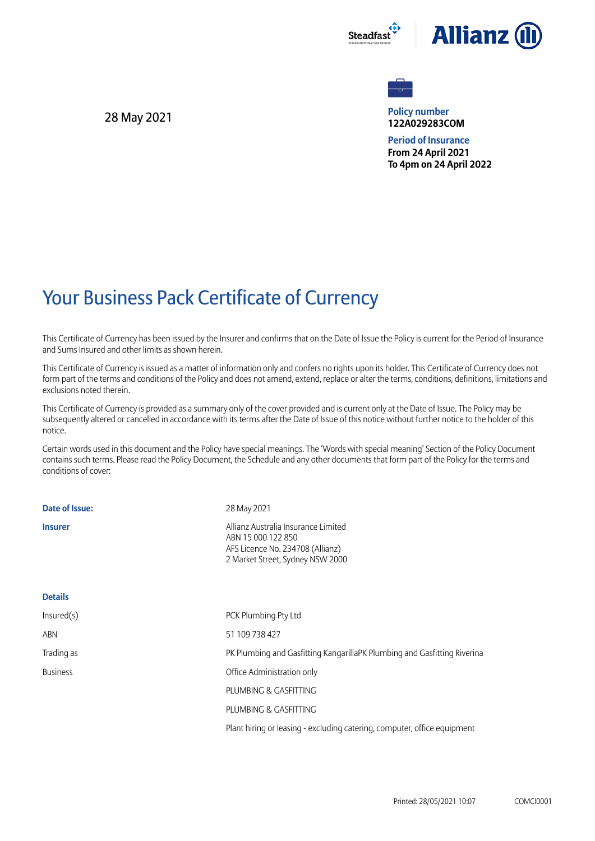



**Policy number 122A029283COM**

**Period of Insurance From 24 April 2021 To 4pm on 24 April 2022**

## Your Business Pack Certificate of Currency

This Certificate of Currency has been issued by the Insurer and confirms that on the Date of Issue the Policy is current for the Period of Insurance and Sums Insured and other limits as shown herein.

This Certificate of Currency is issued as a matter of information only and confers no rights upon its holder. This Certificate of Currency does not form part of the terms and conditions of the Policy and does not amend, extend, replace or alter the terms, conditions, definitions, limitations and exclusions noted therein.

This Certificate of Currency is provided as a summary only of the cover provided and is current only at the Date of Issue. The Policy may be subsequently altered or cancelled in accordance with its terms after the Date of Issue of this notice without further notice to the holder of this notice.

Certain words used in this document and the Policy have special meanings. The 'Words with special meaning' Section of the Policy Document contains such terms. Please read the Policy Document, the Schedule and any other documents that form part of the Policy for the terms and conditions of cover:

| Date of Issue:  | 28 May 2021                                                                                                                       |
|-----------------|-----------------------------------------------------------------------------------------------------------------------------------|
| <b>Insurer</b>  | Allianz Australia Insurance Limited<br>ABN 15 000 122 850<br>AFS Licence No. 234708 (Allianz)<br>2 Market Street, Sydney NSW 2000 |
| <b>Details</b>  |                                                                                                                                   |
| Insured(s)      | PCK Plumbing Pty Ltd                                                                                                              |
| <b>ABN</b>      | 51 109 738 427                                                                                                                    |
| Trading as      | PK Plumbing and Gasfitting KangarillaPK Plumbing and Gasfitting Riverina                                                          |
| <b>Business</b> | Office Administration only                                                                                                        |
|                 | PLUMBING & GASFITTING                                                                                                             |
|                 | PLUMBING & GASFITTING                                                                                                             |
|                 | Plant hiring or leasing - excluding catering, computer, office equipment                                                          |

28 May 2021